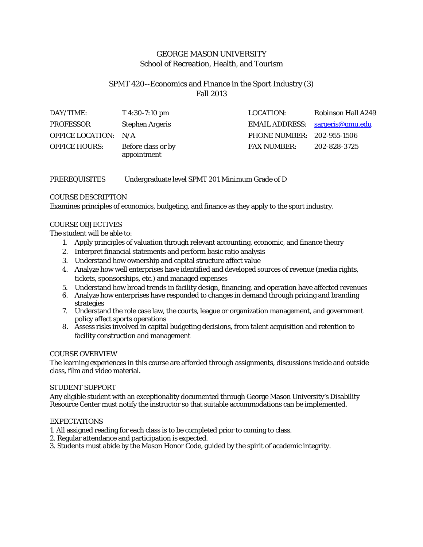# GEORGE MASON UNIVERSITY School of Recreation, Health, and Tourism

# SPMT 420--Economics and Finance in the Sport Industry (3) Fall 2013

| DAY/TIME:            | $T\,4:30-7:10\,\mathrm{pm}$       | LOCATION:                       | <b>Robinson Hall A249</b> |
|----------------------|-----------------------------------|---------------------------------|---------------------------|
| <b>PROFESSOR</b>     | <b>Stephen Argeris</b>            | EMAIL ADDRESS: sargeris@gmu.edu |                           |
| OFFICE LOCATION: N/A |                                   | PHONE NUMBER: 202-955-1506      |                           |
| <b>OFFICE HOURS:</b> | Before class or by<br>appointment | <b>FAX NUMBER:</b>              | 202-828-3725              |

# PREREQUISITES Undergraduate level SPMT 201 Minimum Grade of D

## COURSE DESCRIPTION

Examines principles of economics, budgeting, and finance as they apply to the sport industry.

### COURSE OBJECTIVES

### The student will be able to:

- 1. Apply principles of valuation through relevant accounting, economic, and finance theory
- 2. Interpret financial statements and perform basic ratio analysis
- 3. Understand how ownership and capital structure affect value
- 4. Analyze how well enterprises have identified and developed sources of revenue (media rights, tickets, sponsorships, etc.) and managed expenses
- 5. Understand how broad trends in facility design, financing, and operation have affected revenues
- 6. Analyze how enterprises have responded to changes in demand through pricing and branding strategies
- 7. Understand the role case law, the courts, league or organization management, and government policy affect sports operations
- 8. Assess risks involved in capital budgeting decisions, from talent acquisition and retention to facility construction and management

### COURSE OVERVIEW

The learning experiences in this course are afforded through assignments, discussions inside and outside class, film and video material.

### STUDENT SUPPORT

Any eligible student with an exceptionality documented through George Mason University's Disability Resource Center must notify the instructor so that suitable accommodations can be implemented.

### EXPECTATIONS

- 1. All assigned reading for each class is to be completed prior to coming to class.
- 2. Regular attendance and participation is expected.
- 3. Students must abide by the Mason Honor Code, guided by the spirit of academic integrity.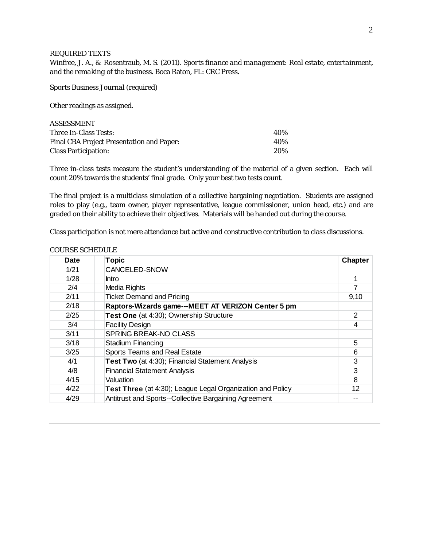#### REQUIRED TEXTS

Winfree, J. A., & Rosentraub, M. S. (2011). *Sports finance and management: Real estate, entertainment, and the remaking of the business.* Boca Raton, FL: CRC Press.

*Sports Business Journal* (required)

Other readings as assigned.

| ASSESSMENT                                       |     |
|--------------------------------------------------|-----|
| Three In-Class Tests:                            | 40% |
| <b>Final CBA Project Presentation and Paper:</b> | 40% |
| <b>Class Participation:</b>                      | 20% |

Three in-class tests measure the student's understanding of the material of a given section. Each will count 20% towards the students' final grade. Only your best two tests count.

The final project is a multiclass simulation of a collective bargaining negotiation. Students are assigned roles to play (e.g., team owner, player representative, league commissioner, union head, etc.) and are graded on their ability to achieve their objectives. Materials will be handed out during the course.

Class participation is not mere attendance but active and constructive contribution to class discussions.

| <b>Date</b> | <b>Topic</b>                                               | <b>Chapter</b>          |
|-------------|------------------------------------------------------------|-------------------------|
| 1/21        | CANCELED-SNOW                                              |                         |
| 1/28        | <b>Intro</b>                                               |                         |
| 2/4         | Media Rights                                               | 7                       |
| 2/11        | <b>Ticket Demand and Pricing</b>                           | 9,10                    |
| 2/18        | Raptors-Wizards game---MEET AT VERIZON Center 5 pm         |                         |
| 2/25        | Test One (at 4:30); Ownership Structure                    | 2                       |
| 3/4         | <b>Facility Design</b>                                     | $\overline{\mathbf{4}}$ |
| 3/11        | <b>SPRING BREAK-NO CLASS</b>                               |                         |
| 3/18        | <b>Stadium Financing</b>                                   | 5                       |
| 3/25        | Sports Teams and Real Estate                               | 6                       |
| 4/1         | Test Two (at 4:30); Financial Statement Analysis           | 3                       |
| 4/8         | <b>Financial Statement Analysis</b>                        | 3                       |
| 4/15        | Valuation                                                  | 8                       |
| 4/22        | Test Three (at 4:30); League Legal Organization and Policy | 12                      |
| 4/29        | Antitrust and Sports--Collective Bargaining Agreement      |                         |

#### COURSE SCHEDULE